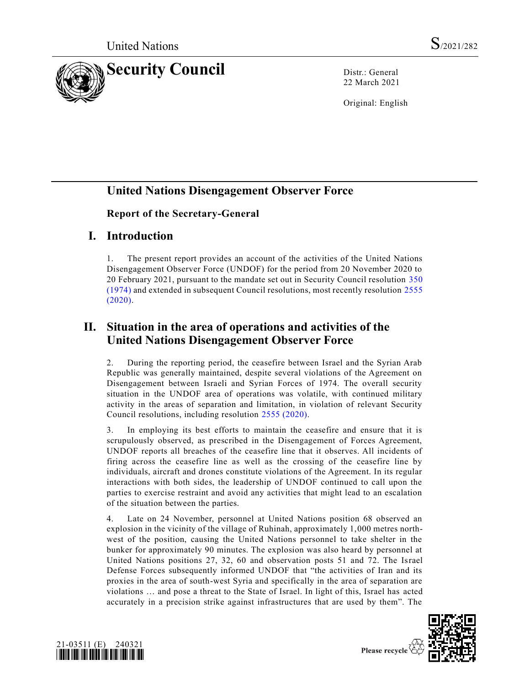

22 March 2021

Original: English

## **United Nations Disengagement Observer Force**

#### **Report of the Secretary-General**

### **I. Introduction**

1. The present report provides an account of the activities of the United Nations Disengagement Observer Force (UNDOF) for the period from 20 November 2020 to 20 February 2021, pursuant to the mandate set out in Security Council resolution [350](https://undocs.org/en/S/RES/350(1974))  [\(1974\)](https://undocs.org/en/S/RES/350(1974)) and extended in subsequent Council resolutions, most recently resolution [2555](https://undocs.org/en/S/RES/2555(2020))  [\(2020\).](https://undocs.org/en/S/RES/2555(2020))

# **II. Situation in the area of operations and activities of the United Nations Disengagement Observer Force**

2. During the reporting period, the ceasefire between Israel and the Syrian Arab Republic was generally maintained, despite several violations of the Agreement on Disengagement between Israeli and Syrian Forces of 1974. The overall security situation in the UNDOF area of operations was volatile, with continued military activity in the areas of separation and limitation, in violation of relevant Security Council resolutions, including resolution [2555 \(2020\).](https://undocs.org/en/S/RES/2555(2020))

3. In employing its best efforts to maintain the ceasefire and ensure that it is scrupulously observed, as prescribed in the Disengagement of Forces Agreement, UNDOF reports all breaches of the ceasefire line that it observes. All incidents of firing across the ceasefire line as well as the crossing of the ceasefire line by individuals, aircraft and drones constitute violations of the Agreement. In its regular interactions with both sides, the leadership of UNDOF continued to call upon the parties to exercise restraint and avoid any activities that might lead to an escalation of the situation between the parties.

4. Late on 24 November, personnel at United Nations position 68 observed an explosion in the vicinity of the village of Ruhinah, approximately 1,000 metres northwest of the position, causing the United Nations personnel to take shelter in the bunker for approximately 90 minutes. The explosion was also heard by personnel at United Nations positions 27, 32, 60 and observation posts 51 and 72. The Israel Defense Forces subsequently informed UNDOF that "the activities of Iran and its proxies in the area of south-west Syria and specifically in the area of separation are violations … and pose a threat to the State of Israel. In light of this, Israel has acted accurately in a precision strike against infrastructures that are used by them". The



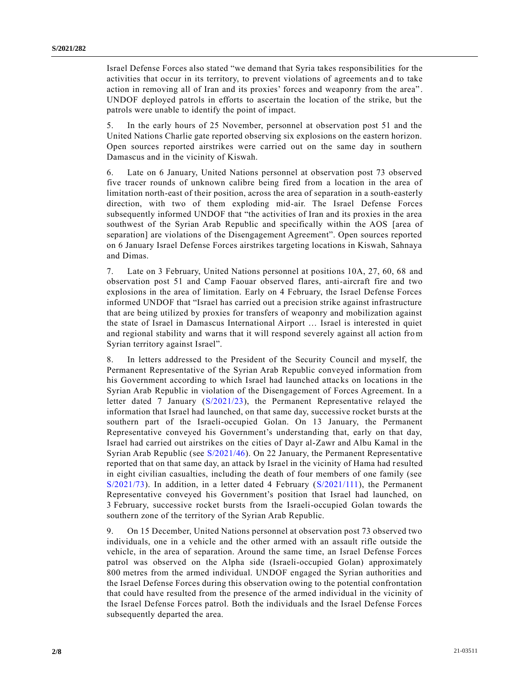Israel Defense Forces also stated "we demand that Syria takes responsibilities for the activities that occur in its territory, to prevent violations of agreements an d to take action in removing all of Iran and its proxies' forces and weaponry from the area" . UNDOF deployed patrols in efforts to ascertain the location of the strike, but the patrols were unable to identify the point of impact.

5. In the early hours of 25 November, personnel at observation post 51 and the United Nations Charlie gate reported observing six explosions on the eastern horizon. Open sources reported airstrikes were carried out on the same day in southern Damascus and in the vicinity of Kiswah.

6. Late on 6 January, United Nations personnel at observation post 73 observed five tracer rounds of unknown calibre being fired from a location in the area of limitation north-east of their position, across the area of separation in a south-easterly direction, with two of them exploding mid-air. The Israel Defense Forces subsequently informed UNDOF that "the activities of Iran and its proxies in the area southwest of the Syrian Arab Republic and specifically within the AOS [area of separation] are violations of the Disengagement Agreement". Open sources reported on 6 January Israel Defense Forces airstrikes targeting locations in Kiswah, Sahnaya and Dimas.

7. Late on 3 February, United Nations personnel at positions 10A, 27, 60, 68 and observation post 51 and Camp Faouar observed flares, anti-aircraft fire and two explosions in the area of limitation. Early on 4 February, the Israel Defense Forces informed UNDOF that "Israel has carried out a precision strike against infrastructure that are being utilized by proxies for transfers of weaponry and mobilization against the state of Israel in Damascus International Airport … Israel is interested in quiet and regional stability and warns that it will respond severely against all action from Syrian territory against Israel".

8. In letters addressed to the President of the Security Council and myself, the Permanent Representative of the Syrian Arab Republic conveyed information from his Government according to which Israel had launched attacks on locations in the Syrian Arab Republic in violation of the Disengagement of Forces Agreement. In a letter dated 7 January [\(S/2021/23\)](https://undocs.org/en/S/2021/23), the Permanent Representative relayed the information that Israel had launched, on that same day, successive rocket bursts at the southern part of the Israeli-occupied Golan. On 13 January, the Permanent Representative conveyed his Government's understanding that, early on that day, Israel had carried out airstrikes on the cities of Dayr al-Zawr and Albu Kamal in the Syrian Arab Republic (see [S/2021/46\)](https://undocs.org/en/S/2021/46). On 22 January, the Permanent Representative reported that on that same day, an attack by Israel in the vicinity of Hama had r esulted in eight civilian casualties, including the death of four members of one family (see  $S/2021/73$ ). In addition, in a letter dated 4 February  $(S/2021/111)$ , the Permanent Representative conveyed his Government's position that Israel had launched, on 3 February, successive rocket bursts from the Israeli-occupied Golan towards the southern zone of the territory of the Syrian Arab Republic.

9. On 15 December, United Nations personnel at observation post 73 observed two individuals, one in a vehicle and the other armed with an assault rifle outside the vehicle, in the area of separation. Around the same time, an Israel Defense Forces patrol was observed on the Alpha side (Israeli-occupied Golan) approximately 800 metres from the armed individual. UNDOF engaged the Syrian authorities and the Israel Defense Forces during this observation owing to the potential confrontation that could have resulted from the presence of the armed individual in the vicinity of the Israel Defense Forces patrol. Both the individuals and the Israel Defense Forces subsequently departed the area.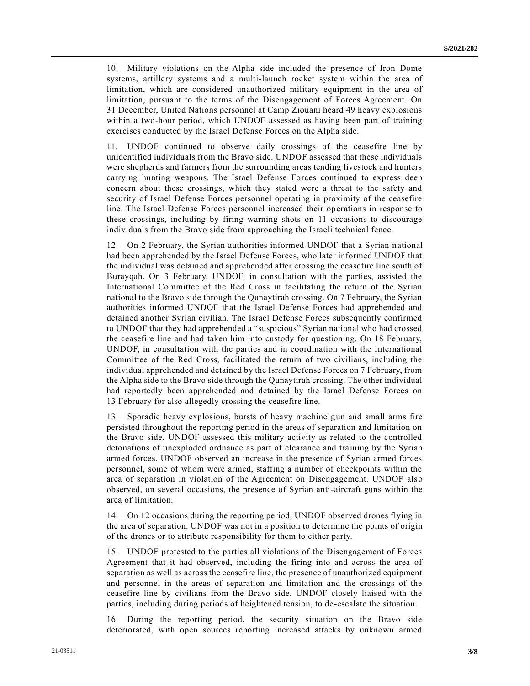10. Military violations on the Alpha side included the presence of Iron Dome systems, artillery systems and a multi-launch rocket system within the area of limitation, which are considered unauthorized military equipment in the area of limitation, pursuant to the terms of the Disengagement of Forces Agreement. On 31 December, United Nations personnel at Camp Ziouani heard 49 heavy explosions within a two-hour period, which UNDOF assessed as having been part of training exercises conducted by the Israel Defense Forces on the Alpha side.

11. UNDOF continued to observe daily crossings of the ceasefire line by unidentified individuals from the Bravo side. UNDOF assessed that these individuals were shepherds and farmers from the surrounding areas tending livestock and hunters carrying hunting weapons. The Israel Defense Forces continued to express deep concern about these crossings, which they stated were a threat to the safety and security of Israel Defense Forces personnel operating in proximity of the ceasefire line. The Israel Defense Forces personnel increased their operations in response to these crossings, including by firing warning shots on 11 occasions to discourage individuals from the Bravo side from approaching the Israeli technical fence.

12. On 2 February, the Syrian authorities informed UNDOF that a Syrian national had been apprehended by the Israel Defense Forces, who later informed UNDOF that the individual was detained and apprehended after crossing the ceasefire line south of Burayqah. On 3 February, UNDOF, in consultation with the parties, assisted the International Committee of the Red Cross in facilitating the return of the Syrian national to the Bravo side through the Qunaytirah crossing. On 7 February, the Syrian authorities informed UNDOF that the Israel Defense Forces had apprehended and detained another Syrian civilian. The Israel Defense Forces subsequently confirmed to UNDOF that they had apprehended a "suspicious" Syrian national who had crossed the ceasefire line and had taken him into custody for questioning. On 18 February, UNDOF, in consultation with the parties and in coordination with the International Committee of the Red Cross, facilitated the return of two civilians, including the individual apprehended and detained by the Israel Defense Forces on 7 February, from the Alpha side to the Bravo side through the Qunaytirah crossing. The other individual had reportedly been apprehended and detained by the Israel Defense Forces on 13 February for also allegedly crossing the ceasefire line.

13. Sporadic heavy explosions, bursts of heavy machine gun and small arms fire persisted throughout the reporting period in the areas of separation and limitation on the Bravo side. UNDOF assessed this military activity as related to the controlled detonations of unexploded ordnance as part of clearance and training by the Syrian armed forces. UNDOF observed an increase in the presence of Syrian armed forces personnel, some of whom were armed, staffing a number of checkpoints within the area of separation in violation of the Agreement on Disengagement. UNDOF also observed, on several occasions, the presence of Syrian anti-aircraft guns within the area of limitation.

14. On 12 occasions during the reporting period, UNDOF observed drones flying in the area of separation. UNDOF was not in a position to determine the points of origin of the drones or to attribute responsibility for them to either party.

15. UNDOF protested to the parties all violations of the Disengagement of Forces Agreement that it had observed, including the firing into and across the area of separation as well as across the ceasefire line, the presence of unauthorized equipment and personnel in the areas of separation and limitation and the crossings of the ceasefire line by civilians from the Bravo side. UNDOF closely liaised with the parties, including during periods of heightened tension, to de-escalate the situation.

16. During the reporting period, the security situation on the Bravo side deteriorated, with open sources reporting increased attacks by unknown armed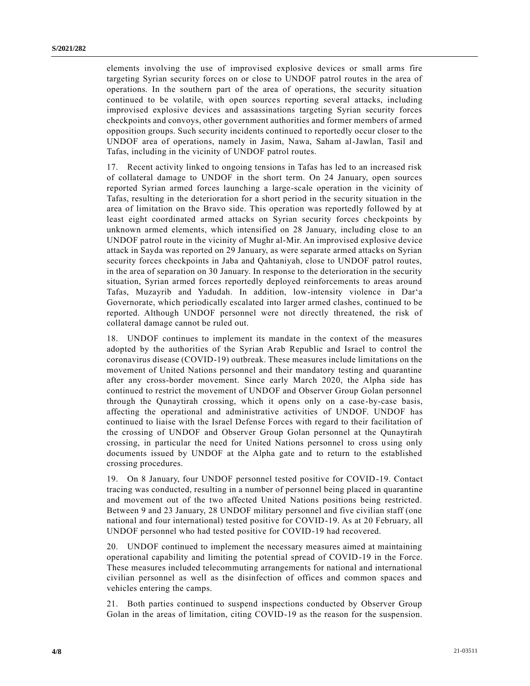elements involving the use of improvised explosive devices or small arms fire targeting Syrian security forces on or close to UNDOF patrol routes in the area of operations. In the southern part of the area of operations, the security situation continued to be volatile, with open sources reporting several attacks, including improvised explosive devices and assassinations targeting Syrian security forces checkpoints and convoys, other government authorities and former members of armed opposition groups. Such security incidents continued to reportedly occur closer to the UNDOF area of operations, namely in Jasim, Nawa, Saham al-Jawlan, Tasil and Tafas, including in the vicinity of UNDOF patrol routes.

17. Recent activity linked to ongoing tensions in Tafas has led to an increased risk of collateral damage to UNDOF in the short term. On 24 January, open sources reported Syrian armed forces launching a large-scale operation in the vicinity of Tafas, resulting in the deterioration for a short period in the security situation in the area of limitation on the Bravo side. This operation was reportedly followed by at least eight coordinated armed attacks on Syrian security forces checkpoints by unknown armed elements, which intensified on 28 January, including close to an UNDOF patrol route in the vicinity of Mughr al-Mir. An improvised explosive device attack in Sayda was reported on 29 January, as were separate armed attacks on Syrian security forces checkpoints in Jaba and Qahtaniyah, close to UNDOF patrol routes, in the area of separation on 30 January. In response to the deterioration in the security situation, Syrian armed forces reportedly deployed reinforcements to areas around Tafas, Muzayrib and Yadudah. In addition, low-intensity violence in Dar'a Governorate, which periodically escalated into larger armed clashes, continued to be reported. Although UNDOF personnel were not directly threatened, the risk of collateral damage cannot be ruled out.

18. UNDOF continues to implement its mandate in the context of the measures adopted by the authorities of the Syrian Arab Republic and Israel to control the coronavirus disease (COVID-19) outbreak. These measures include limitations on the movement of United Nations personnel and their mandatory testing and quarantine after any cross-border movement. Since early March 2020, the Alpha side has continued to restrict the movement of UNDOF and Observer Group Golan personnel through the Qunaytirah crossing, which it opens only on a case-by-case basis, affecting the operational and administrative activities of UNDOF. UNDOF has continued to liaise with the Israel Defense Forces with regard to their facilitation of the crossing of UNDOF and Observer Group Golan personnel at the Qunaytirah crossing, in particular the need for United Nations personnel to cross u sing only documents issued by UNDOF at the Alpha gate and to return to the established crossing procedures.

19. On 8 January, four UNDOF personnel tested positive for COVID-19. Contact tracing was conducted, resulting in a number of personnel being placed in quarantine and movement out of the two affected United Nations positions being restricted. Between 9 and 23 January, 28 UNDOF military personnel and five civilian staff (one national and four international) tested positive for COVID-19. As at 20 February, all UNDOF personnel who had tested positive for COVID-19 had recovered.

20. UNDOF continued to implement the necessary measures aimed at maintaining operational capability and limiting the potential spread of COVID-19 in the Force. These measures included telecommuting arrangements for national and international civilian personnel as well as the disinfection of offices and common spaces and vehicles entering the camps.

21. Both parties continued to suspend inspections conducted by Observer Group Golan in the areas of limitation, citing COVID-19 as the reason for the suspension.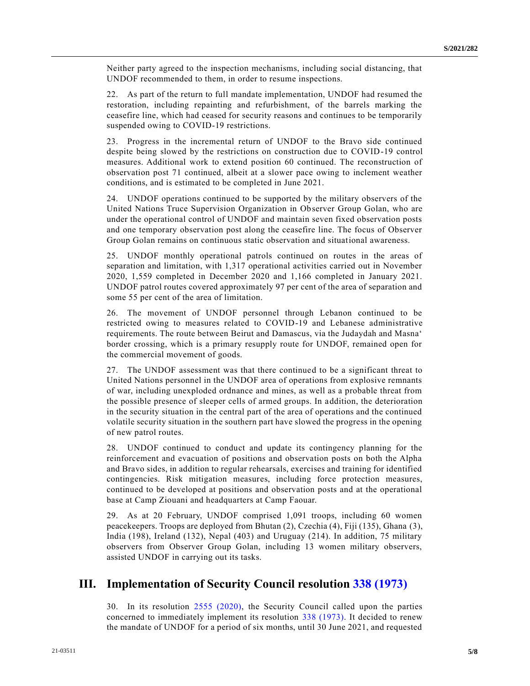Neither party agreed to the inspection mechanisms, including social distancing, that UNDOF recommended to them, in order to resume inspections.

22. As part of the return to full mandate implementation, UNDOF had resumed the restoration, including repainting and refurbishment, of the barrels marking the ceasefire line, which had ceased for security reasons and continues to be temporarily suspended owing to COVID-19 restrictions.

23. Progress in the incremental return of UNDOF to the Bravo side continued despite being slowed by the restrictions on construction due to COVID-19 control measures. Additional work to extend position 60 continued. The reconstruction of observation post 71 continued, albeit at a slower pace owing to inclement weather conditions, and is estimated to be completed in June 2021.

24. UNDOF operations continued to be supported by the military observers of the United Nations Truce Supervision Organization in Observer Group Golan, who are under the operational control of UNDOF and maintain seven fixed observation posts and one temporary observation post along the ceasefire line. The focus of Observer Group Golan remains on continuous static observation and situational awareness.

25. UNDOF monthly operational patrols continued on routes in the areas of separation and limitation, with 1,317 operational activities carried out in November 2020, 1,559 completed in December 2020 and 1,166 completed in January 2021. UNDOF patrol routes covered approximately 97 per cent of the area of separation and some 55 per cent of the area of limitation.

26. The movement of UNDOF personnel through Lebanon continued to be restricted owing to measures related to COVID-19 and Lebanese administrative requirements. The route between Beirut and Damascus, via the Judaydah and Masna' border crossing, which is a primary resupply route for UNDOF, remained open for the commercial movement of goods.

27. The UNDOF assessment was that there continued to be a significant threat to United Nations personnel in the UNDOF area of operations from explosive remnants of war, including unexploded ordnance and mines, as well as a probable threat from the possible presence of sleeper cells of armed groups. In addition, the deterioration in the security situation in the central part of the area of operations and the continued volatile security situation in the southern part have slowed the progress in the opening of new patrol routes.

28. UNDOF continued to conduct and update its contingency planning for the reinforcement and evacuation of positions and observation posts on both the Alpha and Bravo sides, in addition to regular rehearsals, exercises and training for identified contingencies. Risk mitigation measures, including force protection measures, continued to be developed at positions and observation posts and at the operational base at Camp Ziouani and headquarters at Camp Faouar.

29. As at 20 February, UNDOF comprised 1,091 troops, including 60 women peacekeepers. Troops are deployed from Bhutan (2), Czechia (4), Fiji (135), Ghana (3), India (198), Ireland (132), Nepal (403) and Uruguay (214). In addition, 75 military observers from Observer Group Golan, including 13 women military observers, assisted UNDOF in carrying out its tasks.

### **III. Implementation of Security Council resolution [338 \(1973\)](https://undocs.org/en/S/RES/338(1973))**

30. In its resolution [2555 \(2020\),](https://undocs.org/en/S/RES/2555(2020)) the Security Council called upon the parties concerned to immediately implement its resolution [338 \(1973\).](https://undocs.org/en/S/RES/338(1973)) It decided to renew the mandate of UNDOF for a period of six months, until 30 June 2021, and requested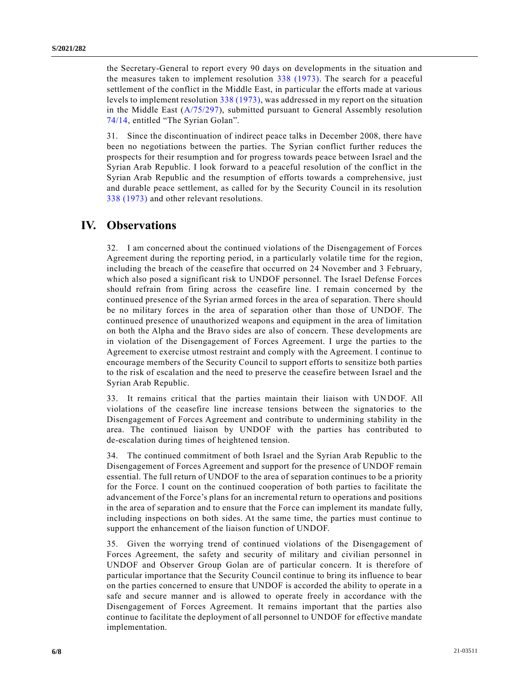the Secretary-General to report every 90 days on developments in the situation and the measures taken to implement resolution [338 \(1973\).](https://undocs.org/en/S/RES/338(1973)) The search for a peaceful settlement of the conflict in the Middle East, in particular the efforts made at various levels to implement resolution [338 \(1973\),](https://undocs.org/en/S/RES/338(1973)) was addressed in my report on the situation in the Middle East [\(A/75/297\)](https://undocs.org/en/A/75/297), submitted pursuant to General Assembly resolution [74/14,](https://undocs.org/en/A/RES/74/14) entitled "The Syrian Golan".

31. Since the discontinuation of indirect peace talks in December 2008, there have been no negotiations between the parties. The Syrian conflict further reduces the prospects for their resumption and for progress towards peace between Israel and the Syrian Arab Republic. I look forward to a peaceful resolution of the conflict in the Syrian Arab Republic and the resumption of efforts towards a comprehensive, just and durable peace settlement, as called for by the Security Council in its resolution [338 \(1973\)](https://undocs.org/en/S/RES/338(1973)) and other relevant resolutions.

### **IV. Observations**

32. I am concerned about the continued violations of the Disengagement of Forces Agreement during the reporting period, in a particularly volatile time for the region, including the breach of the ceasefire that occurred on 24 November and 3 February, which also posed a significant risk to UNDOF personnel. The Israel Defense Forces should refrain from firing across the ceasefire line. I remain concerned by the continued presence of the Syrian armed forces in the area of separation. There should be no military forces in the area of separation other than those of UNDOF. The continued presence of unauthorized weapons and equipment in the area of limitation on both the Alpha and the Bravo sides are also of concern. These developments are in violation of the Disengagement of Forces Agreement. I urge the parties to the Agreement to exercise utmost restraint and comply with the Agreement. I continue to encourage members of the Security Council to support efforts to sensitize both parties to the risk of escalation and the need to preserve the ceasefire between Israel and the Syrian Arab Republic.

33. It remains critical that the parties maintain their liaison with UNDOF. All violations of the ceasefire line increase tensions between the signatories to the Disengagement of Forces Agreement and contribute to undermining stability in the area. The continued liaison by UNDOF with the parties has contributed to de-escalation during times of heightened tension.

34. The continued commitment of both Israel and the Syrian Arab Republic to the Disengagement of Forces Agreement and support for the presence of UNDOF remain essential. The full return of UNDOF to the area of separation continues to be a priority for the Force. I count on the continued cooperation of both parties to facilitate the advancement of the Force's plans for an incremental return to operations and positions in the area of separation and to ensure that the Force can implement its mandate fully, including inspections on both sides. At the same time, the parties must continue to support the enhancement of the liaison function of UNDOF.

35. Given the worrying trend of continued violations of the Disengagement of Forces Agreement, the safety and security of military and civilian personnel in UNDOF and Observer Group Golan are of particular concern. It is therefore of particular importance that the Security Council continue to bring its influence to bear on the parties concerned to ensure that UNDOF is accorded the ability to operate in a safe and secure manner and is allowed to operate freely in accordance with the Disengagement of Forces Agreement. It remains important that the parties also continue to facilitate the deployment of all personnel to UNDOF for effective mandate implementation.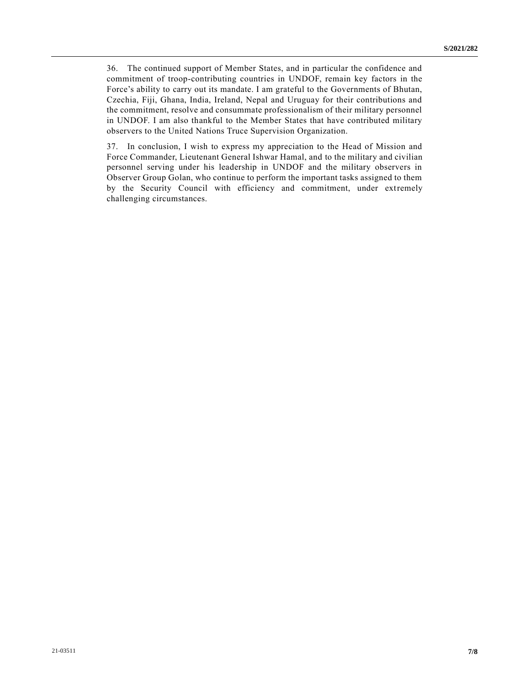36. The continued support of Member States, and in particular the confidence and commitment of troop-contributing countries in UNDOF, remain key factors in the Force's ability to carry out its mandate. I am grateful to the Governments of Bhutan, Czechia, Fiji, Ghana, India, Ireland, Nepal and Uruguay for their contributions and the commitment, resolve and consummate professionalism of their military personnel in UNDOF. I am also thankful to the Member States that have contributed military observers to the United Nations Truce Supervision Organization.

37. In conclusion, I wish to express my appreciation to the Head of Mission and Force Commander, Lieutenant General Ishwar Hamal, and to the military and civilian personnel serving under his leadership in UNDOF and the military observers in Observer Group Golan, who continue to perform the important tasks assigned to them by the Security Council with efficiency and commitment, under extremely challenging circumstances.